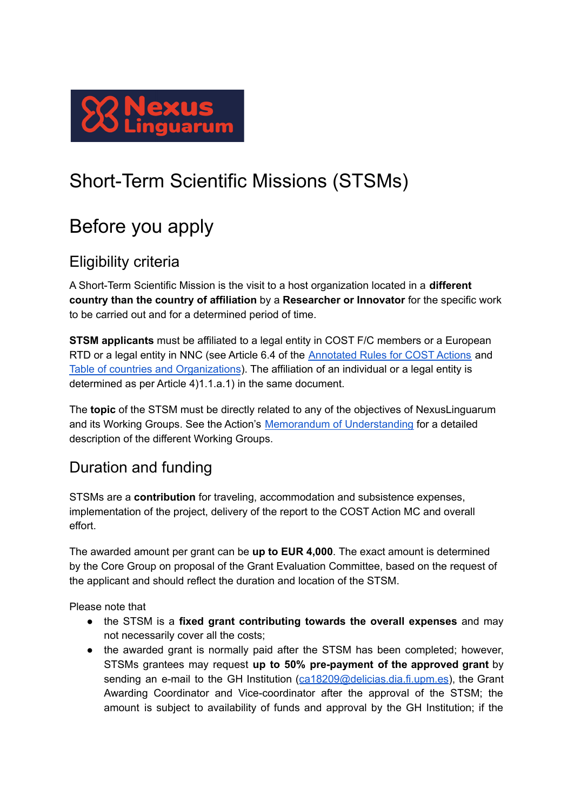

# Short-Term Scientific Missions (STSMs)

## Before you apply

#### Eligibility criteria

A Short-Term Scientific Mission is the visit to a host organization located in a **different country than the country of affiliation** by a **Researcher or Innovator** for the specific work to be carried out and for a determined period of time.

**STSM applicants** must be affiliated to a legal entity in COST F/C members or a European RTD or a legal entity in NNC (see Article 6.4 of the [Annotated](https://www.cost.eu/uploads/2021/10/COST-094-21-Annotated-Rules-for-COST-Actions-Level-C-2021-11-01-1.pdf) Rules for COST Actions and Table of countries and [Organizations](https://www.cost.eu/uploads/2021/10/Annex-I-level-A-Country-and-Organisations-Table-REVISION.pdf)). The affiliation of an individual or a legal entity is determined as per Article 4)1.1.a.1) in the same document.

The **topic** of the STSM must be directly related to any of the objectives of NexusLinguarum and its Working Groups. See the Action's Memorandum of [Understanding](https://e-services.cost.eu/files/domain_files/CA/Action_CA18209/mou/CA18209-e.pdf) for a detailed description of the different Working Groups.

### Duration and funding

STSMs are a **contribution** for traveling, accommodation and subsistence expenses, implementation of the project, delivery of the report to the COST Action MC and overall effort.

The awarded amount per grant can be **up to EUR 4,000**. The exact amount is determined by the Core Group on proposal of the Grant Evaluation Committee, based on the request of the applicant and should reflect the duration and location of the STSM.

Please note that

- the STSM is a **fixed grant contributing towards the overall expenses** and may not necessarily cover all the costs;
- the awarded grant is normally paid after the STSM has been completed; however, STSMs grantees may request **up to 50% pre-payment of the approved grant** by sending an e-mail to the GH Institution ([ca18209@delicias.dia.fi.upm.es](mailto:ca18209@delicias.dia.fi.upm.es)), the Grant Awarding Coordinator and Vice-coordinator after the approval of the STSM; the amount is subject to availability of funds and approval by the GH Institution; if the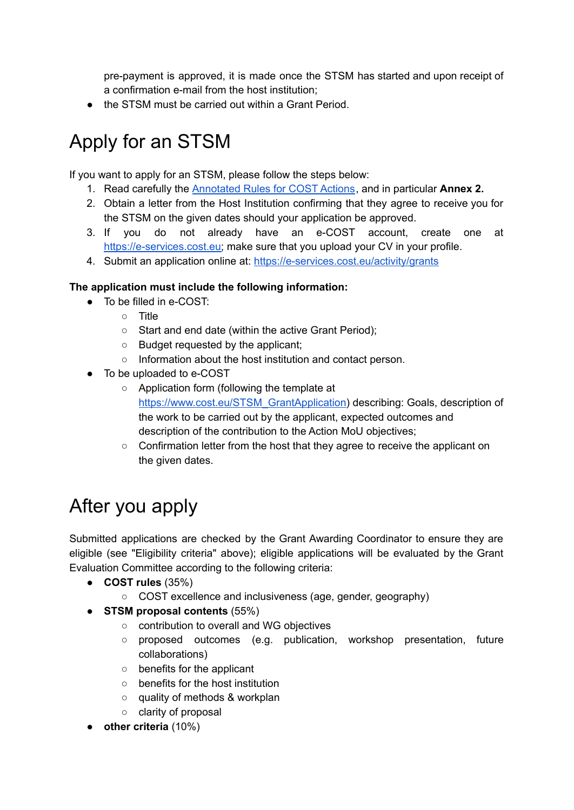pre-payment is approved, it is made once the STSM has started and upon receipt of a confirmation e-mail from the host institution;

● the STSM must be carried out within a Grant Period.

# Apply for an STSM

If you want to apply for an STSM, please follow the steps below:

- 1. Read carefully the [Annotated](https://www.cost.eu/uploads/2021/10/COST-094-21-Annotated-Rules-for-COST-Actions-Level-C-2021-11-01-1.pdf) Rules for COST Actions, and in particular **Annex 2.**
- 2. Obtain a letter from the Host Institution confirming that they agree to receive you for the STSM on the given dates should your application be approved.
- 3. If you do not already have an e-COST account, create one at [https://e-services.cost.eu;](https://e-services.cost.eu) make sure that you upload your CV in your profile.
- 4. Submit an application online at: <https://e-services.cost.eu/activity/grants>

#### **The application must include the following information:**

- To be filled in e-COST:
	- Title
	- Start and end date (within the active Grant Period);
	- Budget requested by the applicant;
	- Information about the host institution and contact person.
- To be uploaded to e-COST
	- Application form (following the template a[t](https://www.cost.eu/STSM_GrantApplication) [https://www.cost.eu/STSM\\_GrantApplication\)](https://www.cost.eu/STSM_GrantApplication) describing: Goals, description of the work to be carried out by the applicant, expected outcomes and description of the contribution to the Action MoU objectives;
	- Confirmation letter from the host that they agree to receive the applicant on the given dates.

# After you apply

Submitted applications are checked by the Grant Awarding Coordinator to ensure they are eligible (see "Eligibility criteria" above); eligible applications will be evaluated by the Grant Evaluation Committee according to the following criteria:

- **COST rules** (35%)
	- COST excellence and inclusiveness (age, gender, geography)
- **STSM proposal contents** (55%)
	- contribution to overall and WG objectives
	- proposed outcomes (e.g. publication, workshop presentation, future collaborations)
	- benefits for the applicant
	- benefits for the host institution
	- quality of methods & workplan
	- clarity of proposal
- **other criteria** (10%)